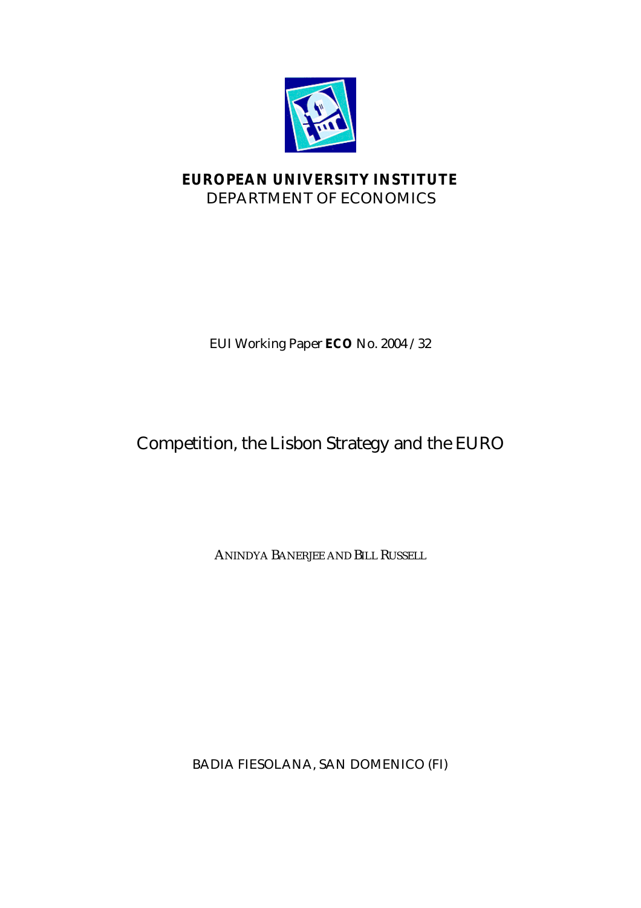

# **EUROPEAN UNIVERSITY INSTITUTE** DEPARTMENT OF ECONOMICS

EUI Working Paper **ECO** No. 2004 /32

# Competition, the Lisbon Strategy and the EURO

ANINDYA BANERJEE AND BILL RUSSELL

BADIA FIESOLANA, SAN DOMENICO (FI)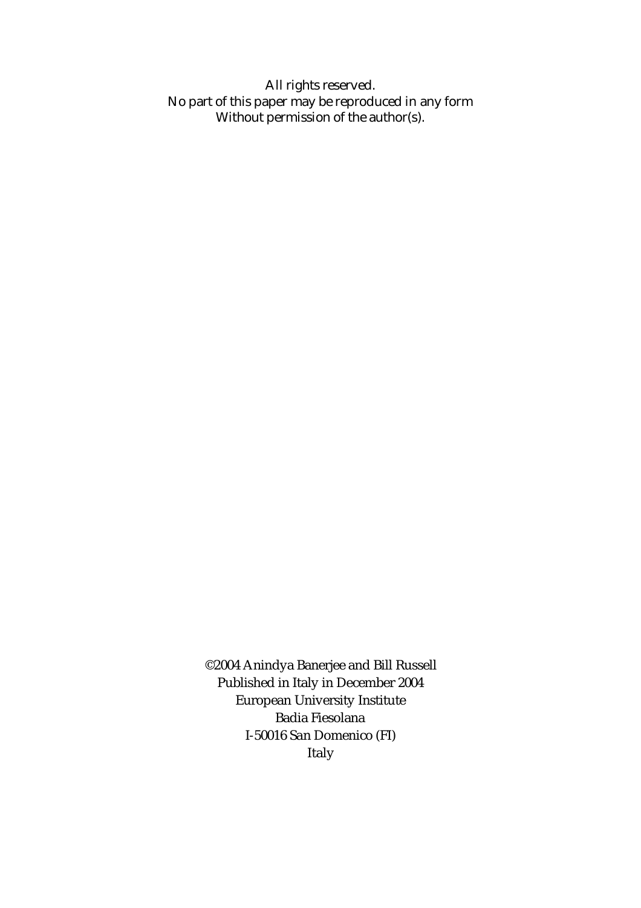All rights reserved. No part of this paper may be reproduced in any form Without permission of the author(s).

> ©2004 Anindya Banerjee and Bill Russell Published in Italy in December 2004 European University Institute Badia Fiesolana I-50016 San Domenico (FI) Italy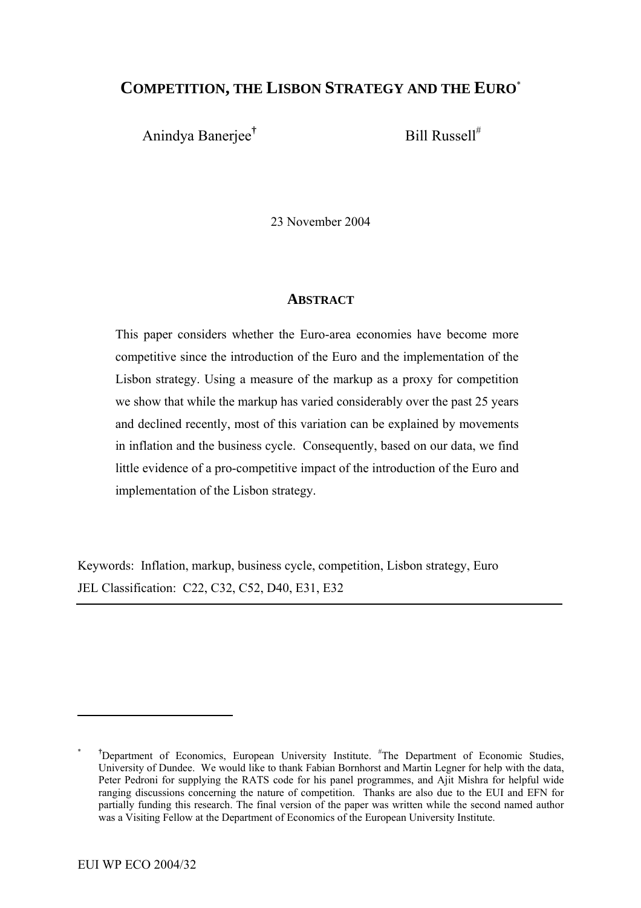# **COMPETITION, THE LISBON STRATEGY AND THE EURO**[\\*](#page-2-0)

Anindya Banerjee**†**

Bill Russell#

23 November 2004

#### **ABSTRACT**

This paper considers whether the Euro-area economies have become more competitive since the introduction of the Euro and the implementation of the Lisbon strategy. Using a measure of the markup as a proxy for competition we show that while the markup has varied considerably over the past 25 years and declined recently, most of this variation can be explained by movements in inflation and the business cycle. Consequently, based on our data, we find little evidence of a pro-competitive impact of the introduction of the Euro and implementation of the Lisbon strategy.

Keywords: Inflation, markup, business cycle, competition, Lisbon strategy, Euro JEL Classification: C22, C32, C52, D40, E31, E32

<span id="page-2-0"></span><sup>&</sup>lt;sup>\*</sup> <sup>†</sup>Department of Economics, European University Institute. <sup>#</sup>The Department of Economic Studies, University of Dundee. We would like to thank Fabian Bornhorst and Martin Legner for help with the data, Peter Pedroni for supplying the RATS code for his panel programmes, and Ajit Mishra for helpful wide ranging discussions concerning the nature of competition. Thanks are also due to the EUI and EFN for partially funding this research. The final version of the paper was written while the second named author was a Visiting Fellow at the Department of Economics of the European University Institute.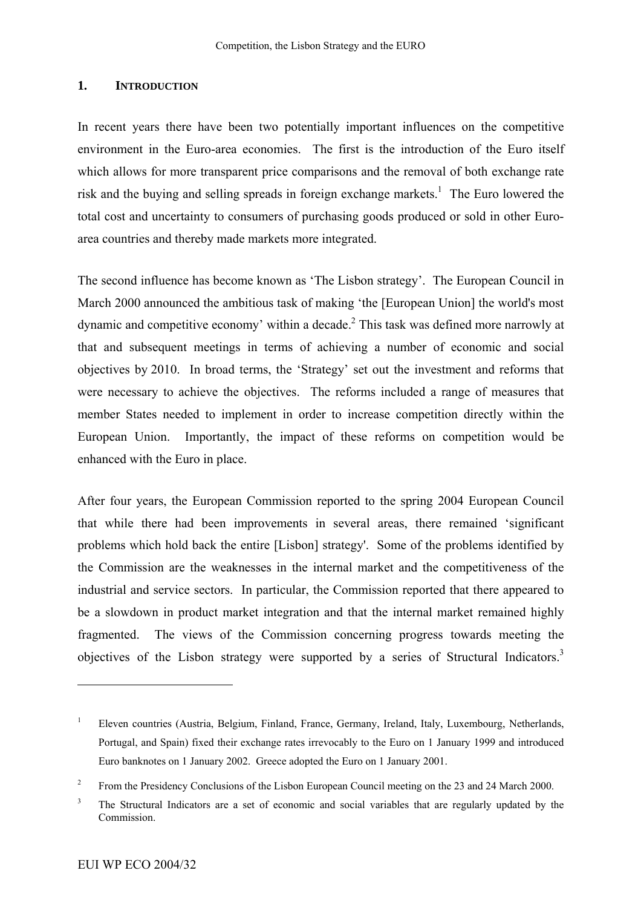#### **1. INTRODUCTION**

In recent years there have been two potentially important influences on the competitive environment in the Euro-area economies. The first is the introduction of the Euro itself which allows for more transparent price comparisons and the removal of both exchange rate risk and the buying and selling spreads in foreign exchange markets.<sup>1</sup> The Euro lowered the total cost and uncertainty to consumers of purchasing goods produced or sold in other Euroarea countries and thereby made markets more integrated.

The second influence has become known as 'The Lisbon strategy'. The European Council in March 2000 announced the ambitious task of making 'the [European Union] the world's most dynamic and competitive economy' within a decade.<sup>2</sup> This task was defined more narrowly at that and subsequent meetings in terms of achieving a number of economic and social objectives by 2010. In broad terms, the 'Strategy' set out the investment and reforms that were necessary to achieve the objectives. The reforms included a range of measures that member States needed to implement in order to increase competition directly within the European Union. Importantly, the impact of these reforms on competition would be enhanced with the Euro in place.

After four years, the European Commission reported to the spring 2004 European Council that while there had been improvements in several areas, there remained 'significant problems which hold back the entire [Lisbon] strategy'. Some of the problems identified by the Commission are the weaknesses in the internal market and the competitiveness of the industrial and service sectors. In particular, the Commission reported that there appeared to be a slowdown in product market integration and that the internal market remained highly fragmented. The views of the Commission concerning progress towards meeting the objectives of the Lisbon strategy were supported by a series of Structural Indicators.<sup>3</sup>

<span id="page-3-0"></span><sup>1</sup> Eleven countries (Austria, Belgium, Finland, France, Germany, Ireland, Italy, Luxembourg, Netherlands, Portugal, and Spain) fixed their exchange rates irrevocably to the Euro on 1 January 1999 and introduced Euro banknotes on 1 January 2002. Greece adopted the Euro on 1 January 2001.

<span id="page-3-1"></span><sup>2</sup> From the Presidency Conclusions of the Lisbon European Council meeting on the 23 and 24 March 2000.

<span id="page-3-2"></span><sup>3</sup> The Structural Indicators are a set of economic and social variables that are regularly updated by the Commission.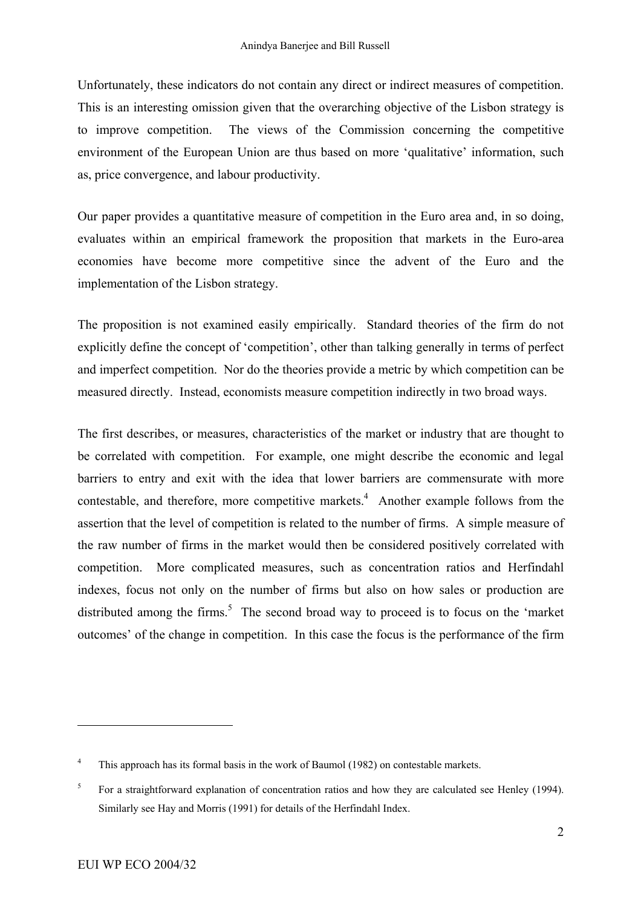Unfortunately, these indicators do not contain any direct or indirect measures of competition. This is an interesting omission given that the overarching objective of the Lisbon strategy is to improve competition. The views of the Commission concerning the competitive environment of the European Union are thus based on more 'qualitative' information, such as, price convergence, and labour productivity.

Our paper provides a quantitative measure of competition in the Euro area and, in so doing, evaluates within an empirical framework the proposition that markets in the Euro-area economies have become more competitive since the advent of the Euro and the implementation of the Lisbon strategy.

The proposition is not examined easily empirically. Standard theories of the firm do not explicitly define the concept of 'competition', other than talking generally in terms of perfect and imperfect competition. Nor do the theories provide a metric by which competition can be measured directly. Instead, economists measure competition indirectly in two broad ways.

The first describes, or measures, characteristics of the market or industry that are thought to be correlated with competition. For example, one might describe the economic and legal barriers to entry and exit with the idea that lower barriers are commensurate with more contestable, and therefore, more competitive markets.<sup>4</sup> Another example follows from the assertion that the level of competition is related to the number of firms. A simple measure of the raw number of firms in the market would then be considered positively correlated with competition. More complicated measures, such as concentration ratios and Herfindahl indexes, focus not only on the number of firms but also on how sales or production are distributed among the firms.<sup>[5](#page-4-1)</sup> The second broad way to proceed is to focus on the 'market outcomes' of the change in competition. In this case the focus is the performance of the firm

<span id="page-4-0"></span><sup>4</sup> This approach has its formal basis in the work of Baumol (1982) on contestable markets.

<span id="page-4-1"></span><sup>5</sup> For a straightforward explanation of concentration ratios and how they are calculated see Henley (1994). Similarly see Hay and Morris (1991) for details of the Herfindahl Index.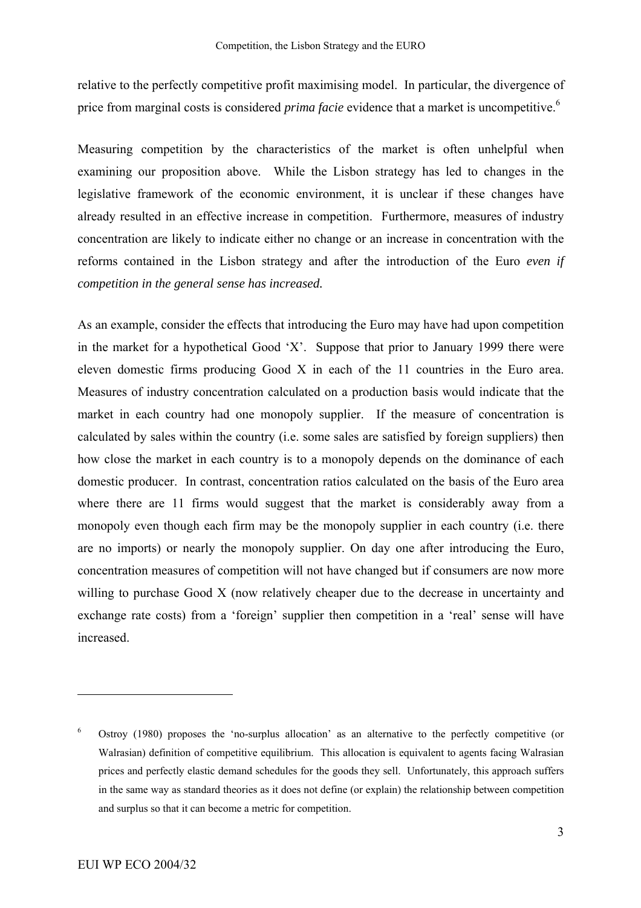relative to the perfectly competitive profit maximising model. In particular, the divergence of price from marginal costs is considered *prima facie* evidence that a market is uncompetitive.<sup>[6](#page-5-0)</sup>

Measuring competition by the characteristics of the market is often unhelpful when examining our proposition above. While the Lisbon strategy has led to changes in the legislative framework of the economic environment, it is unclear if these changes have already resulted in an effective increase in competition. Furthermore, measures of industry concentration are likely to indicate either no change or an increase in concentration with the reforms contained in the Lisbon strategy and after the introduction of the Euro *even if competition in the general sense has increased.*

As an example, consider the effects that introducing the Euro may have had upon competition in the market for a hypothetical Good 'X'. Suppose that prior to January 1999 there were eleven domestic firms producing Good X in each of the 11 countries in the Euro area. Measures of industry concentration calculated on a production basis would indicate that the market in each country had one monopoly supplier. If the measure of concentration is calculated by sales within the country (i.e. some sales are satisfied by foreign suppliers) then how close the market in each country is to a monopoly depends on the dominance of each domestic producer. In contrast, concentration ratios calculated on the basis of the Euro area where there are 11 firms would suggest that the market is considerably away from a monopoly even though each firm may be the monopoly supplier in each country (i.e. there are no imports) or nearly the monopoly supplier. On day one after introducing the Euro, concentration measures of competition will not have changed but if consumers are now more willing to purchase Good X (now relatively cheaper due to the decrease in uncertainty and exchange rate costs) from a 'foreign' supplier then competition in a 'real' sense will have increased.

<span id="page-5-0"></span><sup>6</sup> Ostroy (1980) proposes the 'no-surplus allocation' as an alternative to the perfectly competitive (or Walrasian) definition of competitive equilibrium. This allocation is equivalent to agents facing Walrasian prices and perfectly elastic demand schedules for the goods they sell. Unfortunately, this approach suffers in the same way as standard theories as it does not define (or explain) the relationship between competition and surplus so that it can become a metric for competition.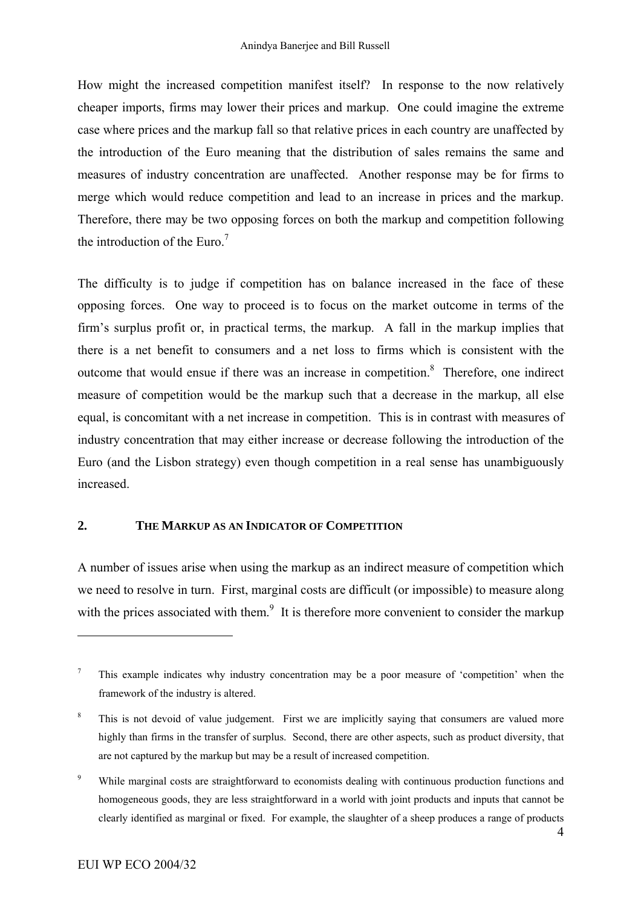How might the increased competition manifest itself? In response to the now relatively cheaper imports, firms may lower their prices and markup. One could imagine the extreme case where prices and the markup fall so that relative prices in each country are unaffected by the introduction of the Euro meaning that the distribution of sales remains the same and measures of industry concentration are unaffected. Another response may be for firms to merge which would reduce competition and lead to an increase in prices and the markup. Therefore, there may be two opposing forces on both the markup and competition following the introduction of the Euro. $<sup>7</sup>$ </sup>

The difficulty is to judge if competition has on balance increased in the face of these opposing forces. One way to proceed is to focus on the market outcome in terms of the firm's surplus profit or, in practical terms, the markup. A fall in the markup implies that there is a net benefit to consumers and a net loss to firms which is consistent with the outcome that would ensue if there was an increase in competition.<sup>8</sup> Therefore, one indirect measure of competition would be the markup such that a decrease in the markup, all else equal, is concomitant with a net increase in competition. This is in contrast with measures of industry concentration that may either increase or decrease following the introduction of the Euro (and the Lisbon strategy) even though competition in a real sense has unambiguously increased.

## **2. THE MARKUP AS AN INDICATOR OF COMPETITION**

A number of issues arise when using the markup as an indirect measure of competition which we need to resolve in turn. First, marginal costs are difficult (or impossible) to measure along with the prices associated with them.<sup>9</sup> It is therefore more convenient to consider the markup

<span id="page-6-0"></span><sup>7</sup> This example indicates why industry concentration may be a poor measure of 'competition' when the framework of the industry is altered.

<span id="page-6-1"></span><sup>8</sup> This is not devoid of value judgement. First we are implicitly saying that consumers are valued more highly than firms in the transfer of surplus. Second, there are other aspects, such as product diversity, that are not captured by the markup but may be a result of increased competition.

<span id="page-6-2"></span><sup>9</sup> While marginal costs are straightforward to economists dealing with continuous production functions and homogeneous goods, they are less straightforward in a world with joint products and inputs that cannot be clearly identified as marginal or fixed. For example, the slaughter of a sheep produces a range of products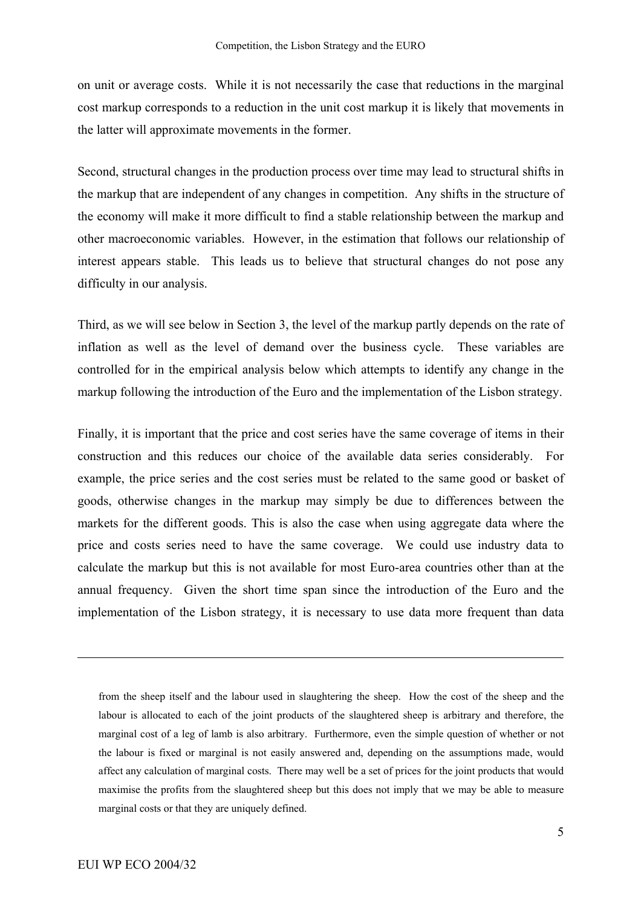on unit or average costs. While it is not necessarily the case that reductions in the marginal cost markup corresponds to a reduction in the unit cost markup it is likely that movements in the latter will approximate movements in the former.

Second, structural changes in the production process over time may lead to structural shifts in the markup that are independent of any changes in competition. Any shifts in the structure of the economy will make it more difficult to find a stable relationship between the markup and other macroeconomic variables. However, in the estimation that follows our relationship of interest appears stable. This leads us to believe that structural changes do not pose any difficulty in our analysis.

Third, as we will see below in Section 3, the level of the markup partly depends on the rate of inflation as well as the level of demand over the business cycle. These variables are controlled for in the empirical analysis below which attempts to identify any change in the markup following the introduction of the Euro and the implementation of the Lisbon strategy.

Finally, it is important that the price and cost series have the same coverage of items in their construction and this reduces our choice of the available data series considerably. For example, the price series and the cost series must be related to the same good or basket of goods, otherwise changes in the markup may simply be due to differences between the markets for the different goods. This is also the case when using aggregate data where the price and costs series need to have the same coverage. We could use industry data to calculate the markup but this is not available for most Euro-area countries other than at the annual frequency. Given the short time span since the introduction of the Euro and the implementation of the Lisbon strategy, it is necessary to use data more frequent than data

from the sheep itself and the labour used in slaughtering the sheep. How the cost of the sheep and the labour is allocated to each of the joint products of the slaughtered sheep is arbitrary and therefore, the marginal cost of a leg of lamb is also arbitrary. Furthermore, even the simple question of whether or not the labour is fixed or marginal is not easily answered and, depending on the assumptions made, would affect any calculation of marginal costs. There may well be a set of prices for the joint products that would maximise the profits from the slaughtered sheep but this does not imply that we may be able to measure marginal costs or that they are uniquely defined.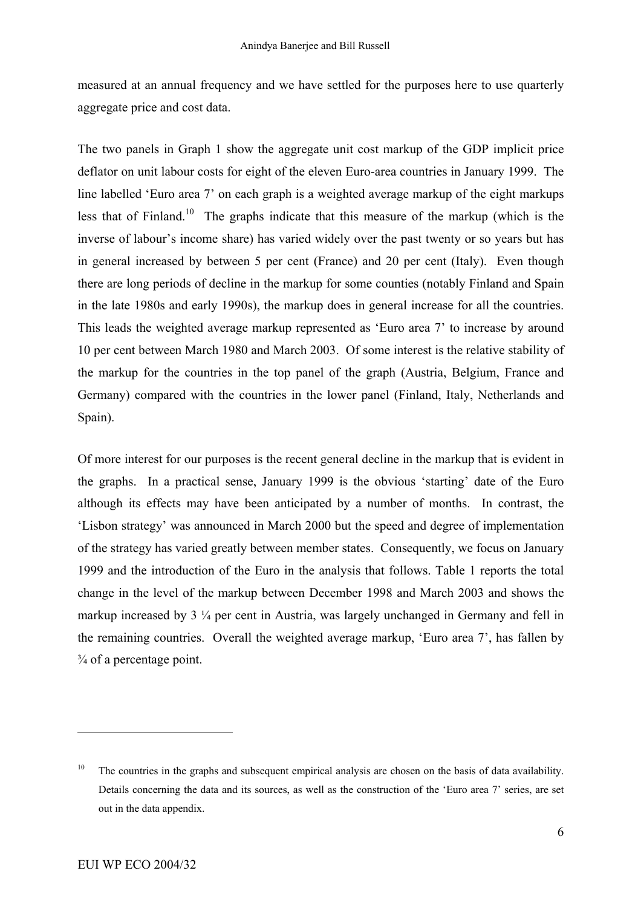measured at an annual frequency and we have settled for the purposes here to use quarterly aggregate price and cost data.

The two panels in Graph 1 show the aggregate unit cost markup of the GDP implicit price deflator on unit labour costs for eight of the eleven Euro-area countries in January 1999. The line labelled 'Euro area 7' on each graph is a weighted average markup of the eight markups less that of Finland[.10](#page-8-0) The graphs indicate that this measure of the markup (which is the inverse of labour's income share) has varied widely over the past twenty or so years but has in general increased by between 5 per cent (France) and 20 per cent (Italy). Even though there are long periods of decline in the markup for some counties (notably Finland and Spain in the late 1980s and early 1990s), the markup does in general increase for all the countries. This leads the weighted average markup represented as 'Euro area 7' to increase by around 10 per cent between March 1980 and March 2003. Of some interest is the relative stability of the markup for the countries in the top panel of the graph (Austria, Belgium, France and Germany) compared with the countries in the lower panel (Finland, Italy, Netherlands and Spain).

Of more interest for our purposes is the recent general decline in the markup that is evident in the graphs. In a practical sense, January 1999 is the obvious 'starting' date of the Euro although its effects may have been anticipated by a number of months. In contrast, the 'Lisbon strategy' was announced in March 2000 but the speed and degree of implementation of the strategy has varied greatly between member states. Consequently, we focus on January 1999 and the introduction of the Euro in the analysis that follows. Table 1 reports the total change in the level of the markup between December 1998 and March 2003 and shows the markup increased by 3 ¼ per cent in Austria, was largely unchanged in Germany and fell in the remaining countries. Overall the weighted average markup, 'Euro area 7', has fallen by  $\frac{3}{4}$  of a percentage point.

<span id="page-8-0"></span><sup>&</sup>lt;sup>10</sup> The countries in the graphs and subsequent empirical analysis are chosen on the basis of data availability. Details concerning the data and its sources, as well as the construction of the 'Euro area 7' series, are set out in the data appendix.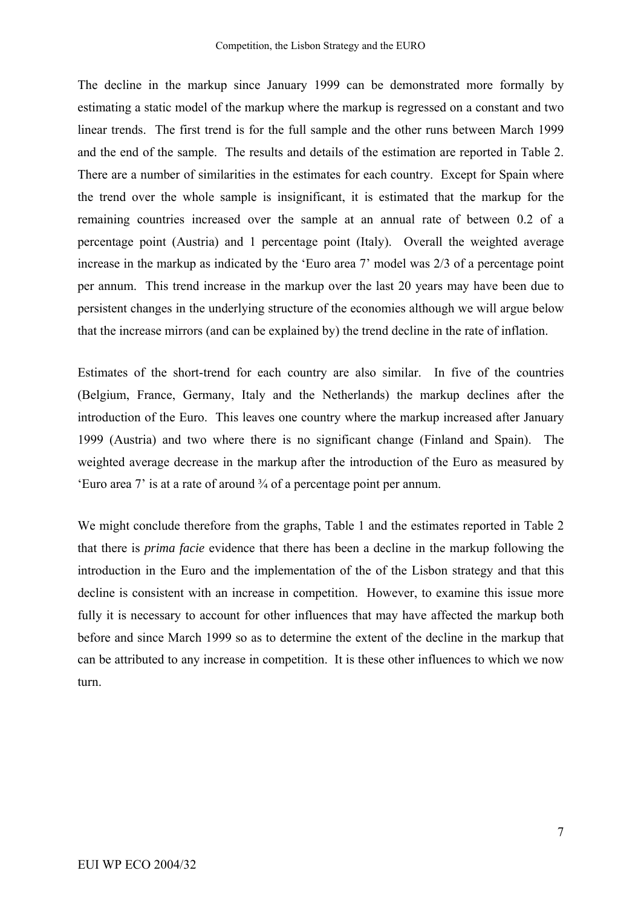The decline in the markup since January 1999 can be demonstrated more formally by estimating a static model of the markup where the markup is regressed on a constant and two linear trends. The first trend is for the full sample and the other runs between March 1999 and the end of the sample. The results and details of the estimation are reported in Table 2. There are a number of similarities in the estimates for each country. Except for Spain where the trend over the whole sample is insignificant, it is estimated that the markup for the remaining countries increased over the sample at an annual rate of between 0.2 of a percentage point (Austria) and 1 percentage point (Italy). Overall the weighted average increase in the markup as indicated by the 'Euro area 7' model was 2/3 of a percentage point per annum. This trend increase in the markup over the last 20 years may have been due to persistent changes in the underlying structure of the economies although we will argue below that the increase mirrors (and can be explained by) the trend decline in the rate of inflation.

Estimates of the short-trend for each country are also similar. In five of the countries (Belgium, France, Germany, Italy and the Netherlands) the markup declines after the introduction of the Euro. This leaves one country where the markup increased after January 1999 (Austria) and two where there is no significant change (Finland and Spain). The weighted average decrease in the markup after the introduction of the Euro as measured by 'Euro area 7' is at a rate of around ¾ of a percentage point per annum.

We might conclude therefore from the graphs, Table 1 and the estimates reported in Table 2 that there is *prima facie* evidence that there has been a decline in the markup following the introduction in the Euro and the implementation of the of the Lisbon strategy and that this decline is consistent with an increase in competition. However, to examine this issue more fully it is necessary to account for other influences that may have affected the markup both before and since March 1999 so as to determine the extent of the decline in the markup that can be attributed to any increase in competition. It is these other influences to which we now turn.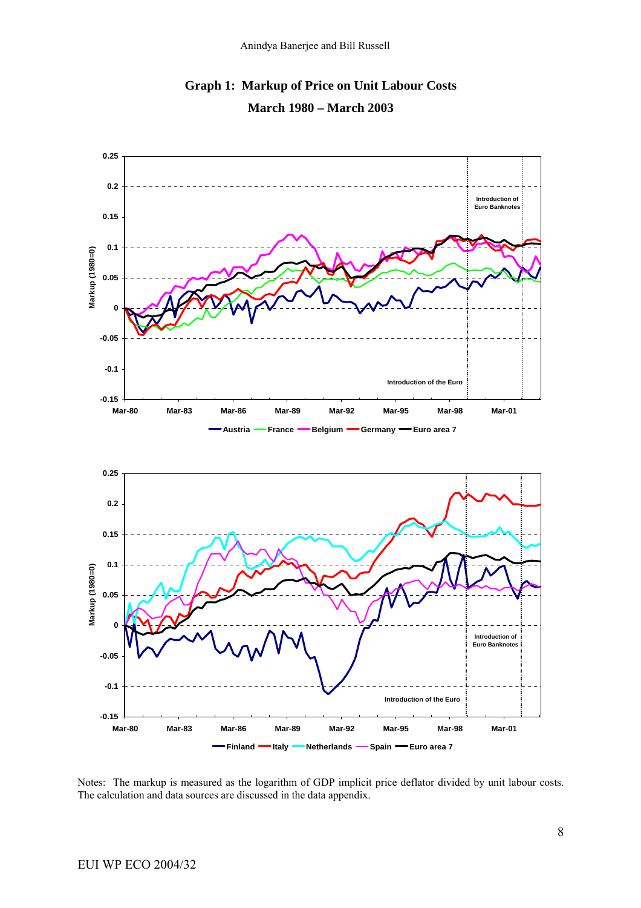

**Graph 1: Markup of Price on Unit Labour Costs March 1980 – March 2003** 

Notes: The markup is measured as the logarithm of GDP implicit price deflator divided by unit labour costs. The calculation and data sources are discussed in the data appendix.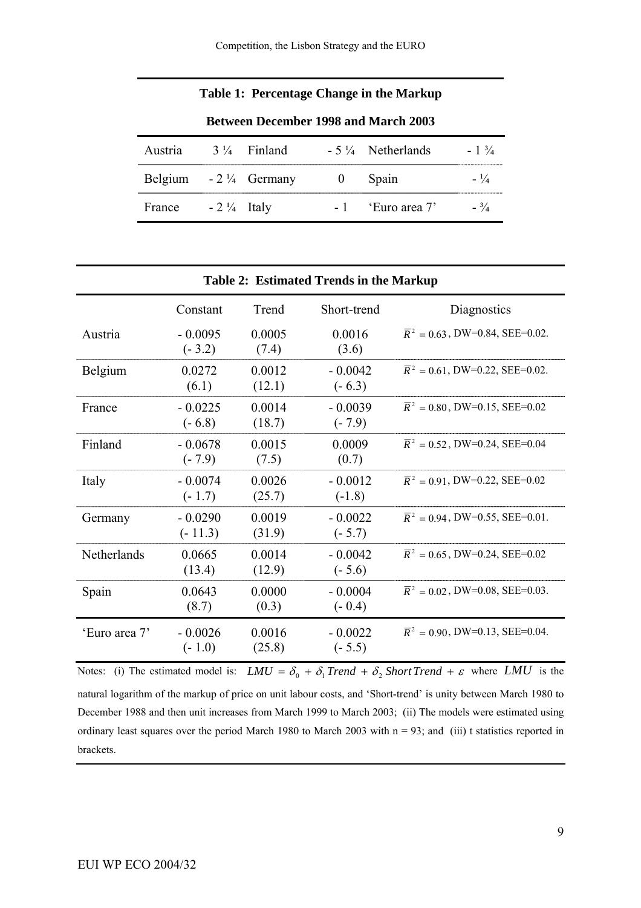#### **Table 1: Percentage Change in the Markup**

| <b>Between December 1998 and March 2003</b> |                       |                        |  |                             |                 |  |
|---------------------------------------------|-----------------------|------------------------|--|-----------------------------|-----------------|--|
| Austria                                     |                       | $3\frac{1}{4}$ Finland |  | $-5\frac{1}{4}$ Netherlands | $-1\frac{3}{4}$ |  |
| Belgium $-2\frac{1}{4}$ Germany             |                       |                        |  | Spain                       | $- \frac{1}{4}$ |  |
| France                                      | $-2\frac{1}{4}$ Italy |                        |  | $-1$ 'Euro area 7'          | $- \frac{3}{4}$ |  |

|               | <b>Table 2: Estimated Trends in the Markup</b> |                  |                       |                                              |  |  |
|---------------|------------------------------------------------|------------------|-----------------------|----------------------------------------------|--|--|
|               | Constant                                       | Trend            | Short-trend           | Diagnostics                                  |  |  |
| Austria       | $-0.0095$<br>$(-3.2)$                          | 0.0005<br>(7.4)  | 0.0016<br>(3.6)       | $\overline{R}^2 = 0.63$ , DW=0.84, SEE=0.02. |  |  |
| Belgium       | 0.0272<br>(6.1)                                | 0.0012<br>(12.1) | $-0.0042$<br>$(-6.3)$ | $\overline{R}^2$ = 0.61, DW=0.22, SEE=0.02.  |  |  |
| France        | $-0.0225$<br>$(-6.8)$                          | 0.0014<br>(18.7) | $-0.0039$<br>$(-7.9)$ | $\overline{R}^2$ = 0.80, DW=0.15, SEE=0.02   |  |  |
| Finland       | $-0.0678$<br>$(-7.9)$                          | 0.0015<br>(7.5)  | 0.0009<br>(0.7)       | $\overline{R}^2$ = 0.52, DW=0.24, SEE=0.04   |  |  |
| Italy         | $-0.0074$<br>$(-1.7)$                          | 0.0026<br>(25.7) | $-0.0012$<br>$(-1.8)$ | $\overline{R}^2 = 0.91$ , DW=0.22, SEE=0.02  |  |  |
| Germany       | $-0.0290$<br>$(-11.3)$                         | 0.0019<br>(31.9) | $-0.0022$<br>$(-5.7)$ | $\overline{R}^2$ = 0.94, DW=0.55, SEE=0.01.  |  |  |
| Netherlands   | 0.0665<br>(13.4)                               | 0.0014<br>(12.9) | $-0.0042$<br>$(-5.6)$ | $\overline{R}^2 = 0.65$ , DW=0.24, SEE=0.02  |  |  |
| Spain         | 0.0643<br>(8.7)                                | 0.0000<br>(0.3)  | $-0.0004$<br>$(-0.4)$ | $\overline{R}^2 = 0.02$ , DW=0.08, SEE=0.03. |  |  |
| 'Euro area 7' | $-0.0026$<br>$(-1.0)$                          | 0.0016<br>(25.8) | $-0.0022$<br>$(-5.5)$ | $\overline{R}^2$ = 0.90, DW=0.13, SEE=0.04.  |  |  |

Notes: (i) The estimated model is:  $LMU = \delta_0 + \delta_1$  *Trend* +  $\delta_2$  *Short Trend* +  $\varepsilon$  where  $LMU$  is the natural logarithm of the markup of price on unit labour costs, and 'Short-trend' is unity between March 1980 to December 1988 and then unit increases from March 1999 to March 2003; (ii) The models were estimated using ordinary least squares over the period March 1980 to March 2003 with  $n = 93$ ; and (iii) t statistics reported in brackets.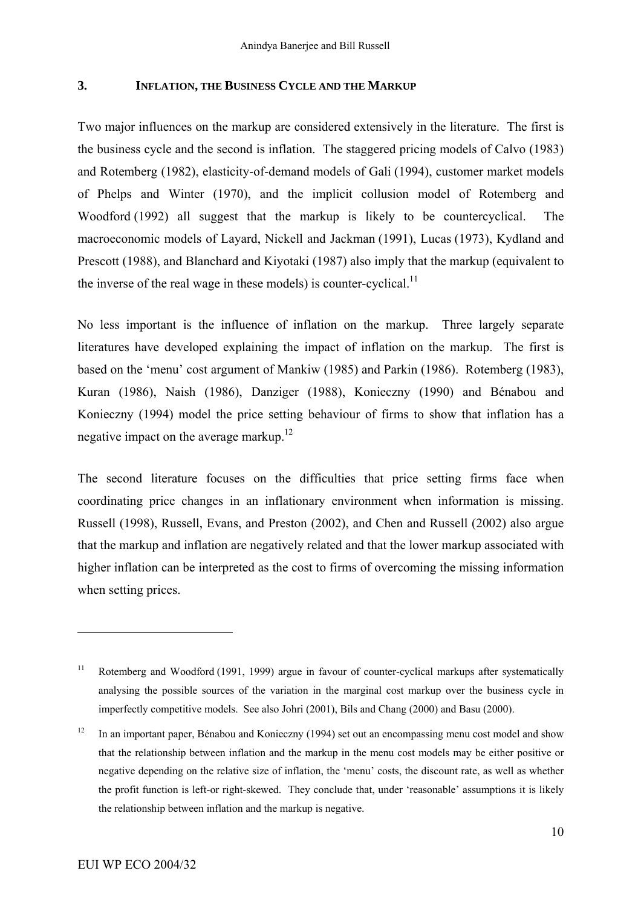#### **3. INFLATION, THE BUSINESS CYCLE AND THE MARKUP**

Two major influences on the markup are considered extensively in the literature. The first is the business cycle and the second is inflation. The staggered pricing models of Calvo (1983) and Rotemberg (1982), elasticity-of-demand models of Gali (1994), customer market models of Phelps and Winter (1970), and the implicit collusion model of Rotemberg and Woodford (1992) all suggest that the markup is likely to be countercyclical. The macroeconomic models of Layard, Nickell and Jackman (1991), Lucas (1973), Kydland and Prescott (1988), and Blanchard and Kiyotaki (1987) also imply that the markup (equivalent to the inverse of the real wage in these models) is counter-cyclical.<sup>11</sup>

No less important is the influence of inflation on the markup. Three largely separate literatures have developed explaining the impact of inflation on the markup. The first is based on the 'menu' cost argument of Mankiw (1985) and Parkin (1986). Rotemberg (1983), Kuran (1986), Naish (1986), Danziger (1988), Konieczny (1990) and Bénabou and Konieczny (1994) model the price setting behaviour of firms to show that inflation has a negative impact on the average markup.<sup>12</sup>

The second literature focuses on the difficulties that price setting firms face when coordinating price changes in an inflationary environment when information is missing. Russell (1998), Russell, Evans, and Preston (2002), and Chen and Russell (2002) also argue that the markup and inflation are negatively related and that the lower markup associated with higher inflation can be interpreted as the cost to firms of overcoming the missing information when setting prices.

<span id="page-12-0"></span><sup>&</sup>lt;sup>11</sup> Rotemberg and Woodford (1991, 1999) argue in favour of counter-cyclical markups after systematically analysing the possible sources of the variation in the marginal cost markup over the business cycle in imperfectly competitive models. See also Johri (2001), Bils and Chang (2000) and Basu (2000).

<span id="page-12-1"></span><sup>&</sup>lt;sup>12</sup> In an important paper, Bénabou and Konieczny (1994) set out an encompassing menu cost model and show that the relationship between inflation and the markup in the menu cost models may be either positive or negative depending on the relative size of inflation, the 'menu' costs, the discount rate, as well as whether the profit function is left-or right-skewed. They conclude that, under 'reasonable' assumptions it is likely the relationship between inflation and the markup is negative.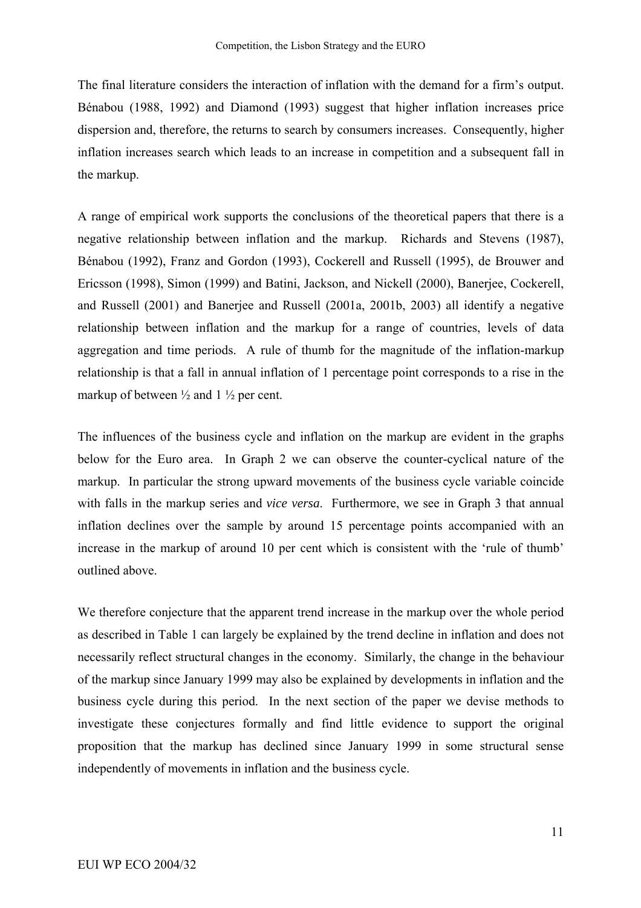The final literature considers the interaction of inflation with the demand for a firm's output. Bénabou (1988, 1992) and Diamond (1993) suggest that higher inflation increases price dispersion and, therefore, the returns to search by consumers increases. Consequently, higher inflation increases search which leads to an increase in competition and a subsequent fall in the markup.

A range of empirical work supports the conclusions of the theoretical papers that there is a negative relationship between inflation and the markup. Richards and Stevens (1987), Bénabou (1992), Franz and Gordon (1993), Cockerell and Russell (1995), de Brouwer and Ericsson (1998), Simon (1999) and Batini, Jackson, and Nickell (2000), Banerjee, Cockerell, and Russell (2001) and Banerjee and Russell (2001a, 2001b, 2003) all identify a negative relationship between inflation and the markup for a range of countries, levels of data aggregation and time periods. A rule of thumb for the magnitude of the inflation-markup relationship is that a fall in annual inflation of 1 percentage point corresponds to a rise in the markup of between  $\frac{1}{2}$  and  $1\frac{1}{2}$  per cent.

The influences of the business cycle and inflation on the markup are evident in the graphs below for the Euro area. In Graph 2 we can observe the counter-cyclical nature of the markup. In particular the strong upward movements of the business cycle variable coincide with falls in the markup series and *vice versa*. Furthermore, we see in Graph 3 that annual inflation declines over the sample by around 15 percentage points accompanied with an increase in the markup of around 10 per cent which is consistent with the 'rule of thumb' outlined above.

We therefore conjecture that the apparent trend increase in the markup over the whole period as described in Table 1 can largely be explained by the trend decline in inflation and does not necessarily reflect structural changes in the economy. Similarly, the change in the behaviour of the markup since January 1999 may also be explained by developments in inflation and the business cycle during this period. In the next section of the paper we devise methods to investigate these conjectures formally and find little evidence to support the original proposition that the markup has declined since January 1999 in some structural sense independently of movements in inflation and the business cycle.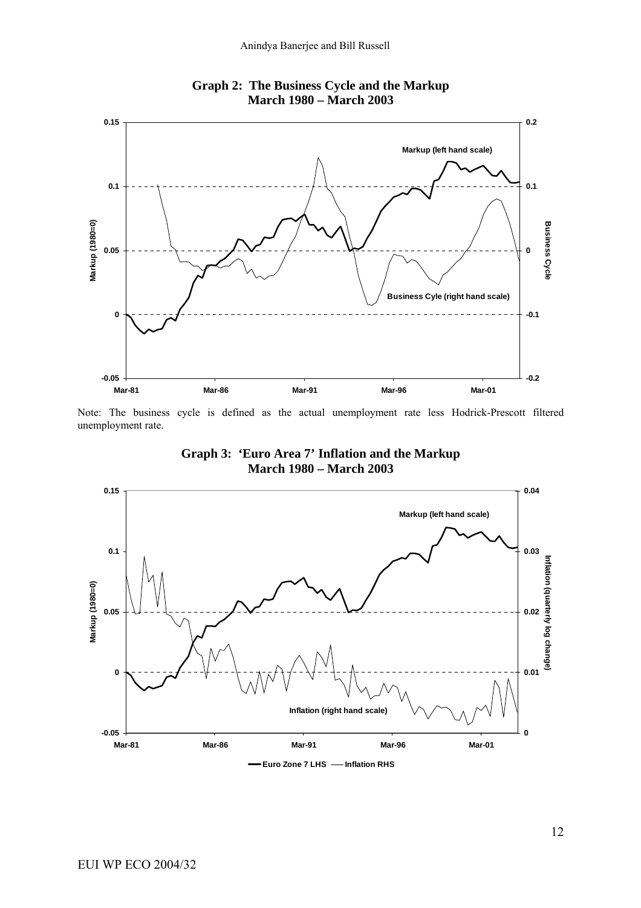

**Graph 2: The Business Cycle and the Markup March 1980 – March 2003** 

Note: The business cycle is defined as the actual unemployment rate less Hodrick-Prescott filtered unemployment rate.



**Graph 3: 'Euro Area 7' Inflation and the Markup**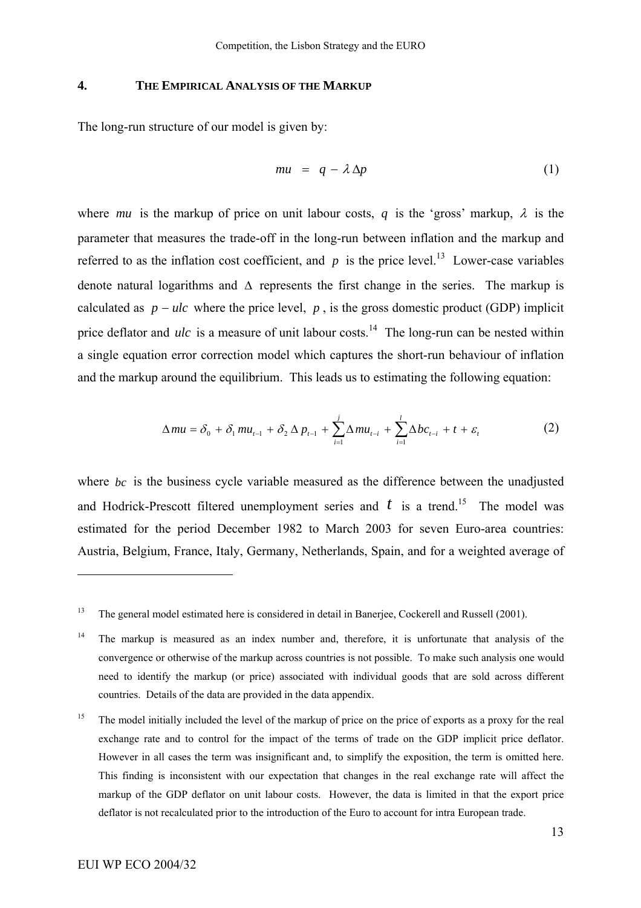#### **4. THE EMPIRICAL ANALYSIS OF THE MARKUP**

The long-run structure of our model is given by:

$$
mu = q - \lambda \Delta p \tag{1}
$$

where *mu* is the markup of price on unit labour costs, *q* is the 'gross' markup,  $\lambda$  is the parameter that measures the trade-off in the long-run between inflation and the markup and referred to as the inflation cost coefficient, and  $p$  is the price level.<sup>13</sup> Lower-case variables denote natural logarithms and  $\Delta$  represents the first change in the series. The markup is calculated as  $p - ulc$  where the price level,  $p$ , is the gross domestic product (GDP) implicit price deflator and  $ulc$  is a measure of unit labour costs.<sup>14</sup> The long-run can be nested within a single equation error correction model which captures the short-run behaviour of inflation and the markup around the equilibrium. This leads us to estimating the following equation:

$$
\Delta mu = \delta_0 + \delta_1 mu_{t-1} + \delta_2 \Delta p_{t-1} + \sum_{i=1}^{j} \Delta mu_{t-i} + \sum_{i=1}^{l} \Delta bc_{t-i} + t + \varepsilon_t
$$
 (2)

where  $bc$  is the business cycle variable measured as the difference between the unadjusted and Hodrick-Prescott filtered unemployment series and  $t$  is a trend.<sup>15</sup> The model was estimated for the period December 1982 to March 2003 for seven Euro-area countries: Austria, Belgium, France, Italy, Germany, Netherlands, Spain, and for a weighted average of

<span id="page-15-0"></span><sup>&</sup>lt;sup>13</sup> The general model estimated here is considered in detail in Banerjee, Cockerell and Russell (2001).

<span id="page-15-1"></span><sup>&</sup>lt;sup>14</sup> The markup is measured as an index number and, therefore, it is unfortunate that analysis of the convergence or otherwise of the markup across countries is not possible. To make such analysis one would need to identify the markup (or price) associated with individual goods that are sold across different countries. Details of the data are provided in the data appendix.

<span id="page-15-2"></span><sup>&</sup>lt;sup>15</sup> The model initially included the level of the markup of price on the price of exports as a proxy for the real exchange rate and to control for the impact of the terms of trade on the GDP implicit price deflator. However in all cases the term was insignificant and, to simplify the exposition, the term is omitted here. This finding is inconsistent with our expectation that changes in the real exchange rate will affect the markup of the GDP deflator on unit labour costs. However, the data is limited in that the export price deflator is not recalculated prior to the introduction of the Euro to account for intra European trade.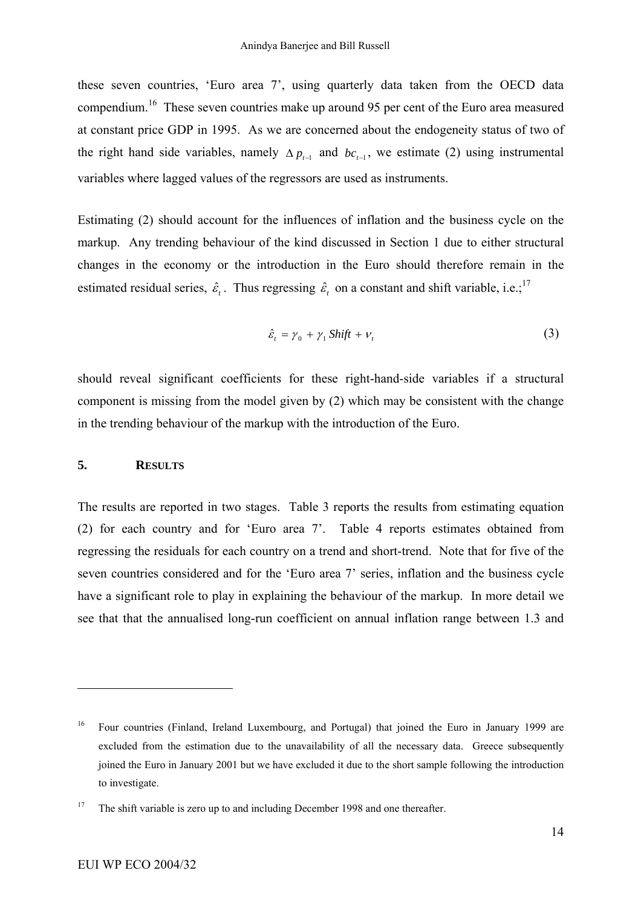these seven countries, 'Euro area 7', using quarterly data taken from the OECD data compendium.[16](#page-16-0) These seven countries make up around 95 per cent of the Euro area measured at constant price GDP in 1995. As we are concerned about the endogeneity status of two of the right hand side variables, namely  $\Delta p_{t-1}$  and  $bc_{t-1}$ , we estimate (2) using instrumental variables where lagged values of the regressors are used as instruments.

Estimating (2) should account for the influences of inflation and the business cycle on the markup. Any trending behaviour of the kind discussed in Section 1 due to either structural changes in the economy or the introduction in the Euro should therefore remain in the estimated residual series,  $\hat{\varepsilon}$ . Thus regressing  $\hat{\varepsilon}$ , on a constant and shift variable, i.e.;<sup>[17](#page-16-1)</sup>

$$
\hat{\varepsilon}_t = \gamma_0 + \gamma_1 \text{Shift} + \nu_t \tag{3}
$$

should reveal significant coefficients for these right-hand-side variables if a structural component is missing from the model given by (2) which may be consistent with the change in the trending behaviour of the markup with the introduction of the Euro.

#### **5. RESULTS**

The results are reported in two stages. Table 3 reports the results from estimating equation (2) for each country and for 'Euro area 7'. Table 4 reports estimates obtained from regressing the residuals for each country on a trend and short-trend. Note that for five of the seven countries considered and for the 'Euro area 7' series, inflation and the business cycle have a significant role to play in explaining the behaviour of the markup. In more detail we see that that the annualised long-run coefficient on annual inflation range between 1.3 and

<span id="page-16-0"></span><sup>&</sup>lt;sup>16</sup> Four countries (Finland, Ireland Luxembourg, and Portugal) that joined the Euro in January 1999 are excluded from the estimation due to the unavailability of all the necessary data. Greece subsequently joined the Euro in January 2001 but we have excluded it due to the short sample following the introduction to investigate.

<span id="page-16-1"></span><sup>&</sup>lt;sup>17</sup> The shift variable is zero up to and including December 1998 and one thereafter.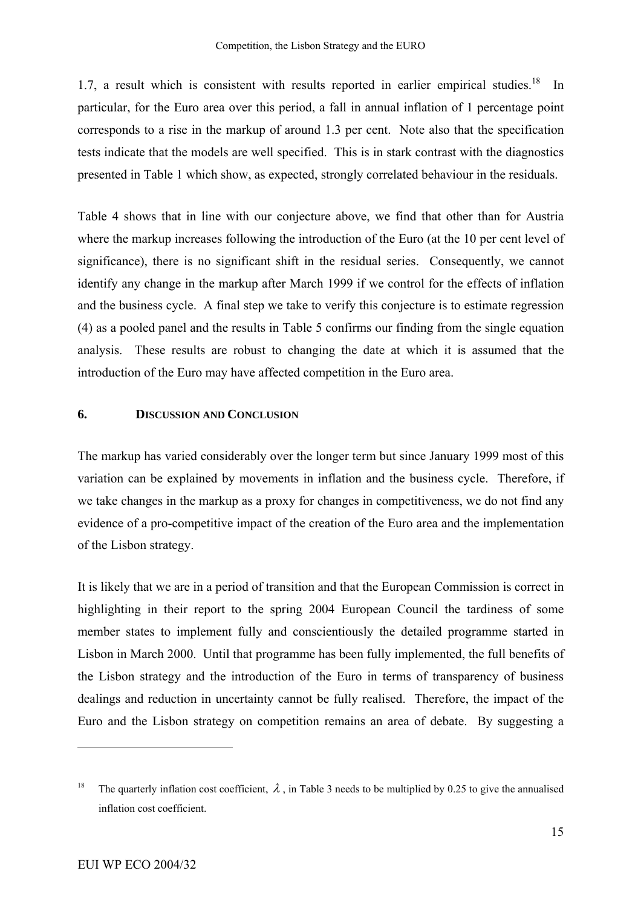1.7, a result which is consistent with results reported in earlier empirical studies.<sup>18</sup> In particular, for the Euro area over this period, a fall in annual inflation of 1 percentage point corresponds to a rise in the markup of around 1.3 per cent. Note also that the specification tests indicate that the models are well specified. This is in stark contrast with the diagnostics presented in Table 1 which show, as expected, strongly correlated behaviour in the residuals.

Table 4 shows that in line with our conjecture above, we find that other than for Austria where the markup increases following the introduction of the Euro (at the 10 per cent level of significance), there is no significant shift in the residual series. Consequently, we cannot identify any change in the markup after March 1999 if we control for the effects of inflation and the business cycle. A final step we take to verify this conjecture is to estimate regression (4) as a pooled panel and the results in Table 5 confirms our finding from the single equation analysis. These results are robust to changing the date at which it is assumed that the introduction of the Euro may have affected competition in the Euro area.

#### **6. DISCUSSION AND CONCLUSION**

The markup has varied considerably over the longer term but since January 1999 most of this variation can be explained by movements in inflation and the business cycle. Therefore, if we take changes in the markup as a proxy for changes in competitiveness, we do not find any evidence of a pro-competitive impact of the creation of the Euro area and the implementation of the Lisbon strategy.

It is likely that we are in a period of transition and that the European Commission is correct in highlighting in their report to the spring 2004 European Council the tardiness of some member states to implement fully and conscientiously the detailed programme started in Lisbon in March 2000. Until that programme has been fully implemented, the full benefits of the Lisbon strategy and the introduction of the Euro in terms of transparency of business dealings and reduction in uncertainty cannot be fully realised. Therefore, the impact of the Euro and the Lisbon strategy on competition remains an area of debate. By suggesting a

<span id="page-17-0"></span><sup>&</sup>lt;sup>18</sup> The quarterly inflation cost coefficient,  $\lambda$ , in Table 3 needs to be multiplied by 0.25 to give the annualised inflation cost coefficient.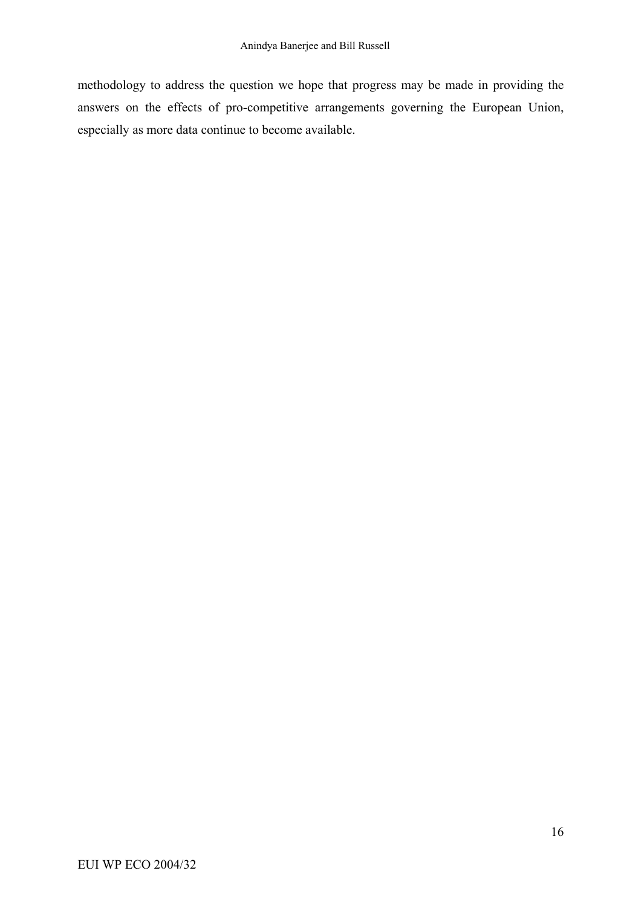methodology to address the question we hope that progress may be made in providing the answers on the effects of pro-competitive arrangements governing the European Union, especially as more data continue to become available.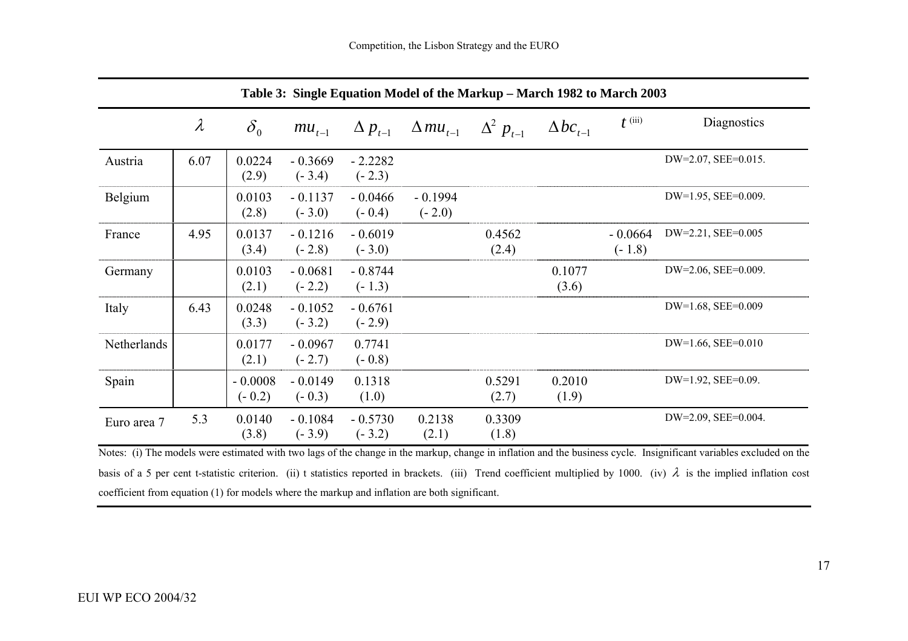| Table 3: Single Equation Model of the Markup – March 1982 to March 2003 |           |                       |                       |                       |                       |                    |                      |                       |                          |
|-------------------------------------------------------------------------|-----------|-----------------------|-----------------------|-----------------------|-----------------------|--------------------|----------------------|-----------------------|--------------------------|
|                                                                         | $\lambda$ | $\delta_{0}$          | $mu_{t-1}$            | $\Delta p_{t-1}$      | $\Delta mu_{t-1}$     | $\Delta^2 p_{t-1}$ | $\Delta bc_{_{t-1}}$ | $t^{\text{(iii)}}$    | Diagnostics              |
| Austria                                                                 | 6.07      | 0.0224<br>(2.9)       | $-0.3669$<br>$(-3.4)$ | $-2.2282$<br>$(-2.3)$ |                       |                    |                      |                       | DW=2.07, SEE=0.015.      |
| Belgium                                                                 |           | 0.0103<br>(2.8)       | $-0.1137$<br>$(-3.0)$ | $-0.0466$<br>$(-0.4)$ | $-0.1994$<br>$(-2.0)$ |                    |                      |                       | DW=1.95, SEE=0.009.      |
| France                                                                  | 4.95      | 0.0137<br>(3.4)       | $-0.1216$<br>$(-2.8)$ | $-0.6019$<br>$(-3.0)$ |                       | 0.4562<br>(2.4)    |                      | $-0.0664$<br>$(-1.8)$ | DW=2.21, SEE=0.005       |
| Germany                                                                 |           | 0.0103<br>(2.1)       | $-0.0681$<br>$(-2.2)$ | $-0.8744$<br>$(-1.3)$ |                       |                    | 0.1077<br>(3.6)      |                       | DW=2.06, SEE=0.009.      |
| Italy                                                                   | 6.43      | 0.0248<br>(3.3)       | $-0.1052$<br>$(-3.2)$ | $-0.6761$<br>$(-2.9)$ |                       |                    |                      |                       | DW=1.68, SEE=0.009       |
| Netherlands                                                             |           | 0.0177<br>(2.1)       | $-0.0967$<br>$(-2.7)$ | 0.7741<br>$(-0.8)$    |                       |                    |                      |                       | $DW=1.66$ , SEE= $0.010$ |
| Spain                                                                   |           | $-0.0008$<br>$(-0.2)$ | $-0.0149$<br>$(-0.3)$ | 0.1318<br>(1.0)       |                       | 0.5291<br>(2.7)    | 0.2010<br>(1.9)      |                       | DW=1.92, SEE=0.09.       |
| Euro area 7                                                             | 5.3       | 0.0140<br>(3.8)       | $-0.1084$<br>$(-3.9)$ | $-0.5730$<br>$(-3.2)$ | 0.2138<br>(2.1)       | 0.3309<br>(1.8)    |                      |                       | DW=2.09, SEE=0.004.      |

Notes: (i) The models were estimated with two lags of the change in the markup, change in inflation and the business cycle. Insignificant variables excluded on the basis of a 5 per cent t-statistic criterion. (ii) t statistics reported in brackets. (iii) Trend coefficient multiplied by 1000. (iv)  $\lambda$  is the implied inflation cost coefficient from equation (1) for models where the markup and inflation are both significant.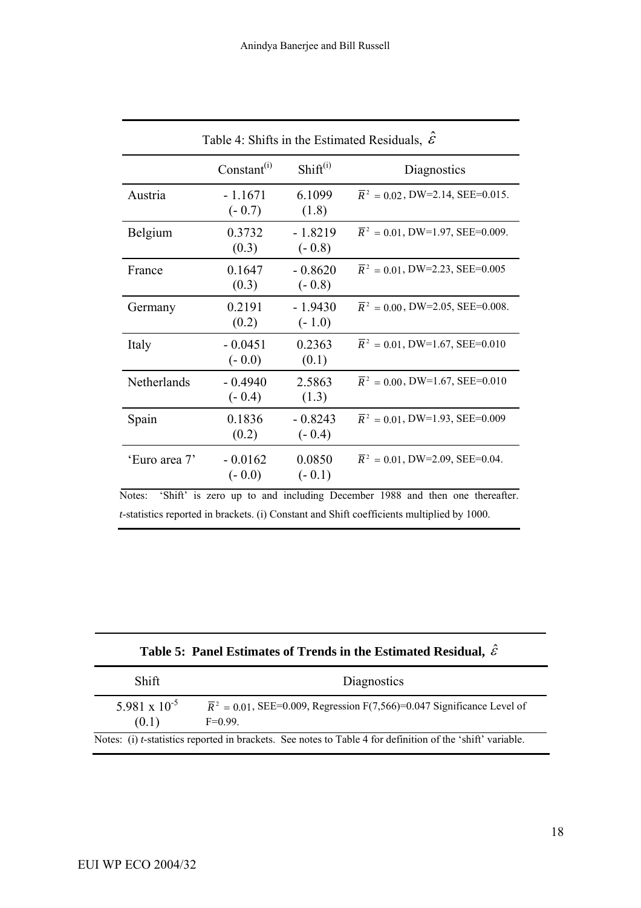| Table 4: Shifts in the Estimated Residuals, $\mathcal{E}$  |                       |                                            |                                                                     |  |  |
|------------------------------------------------------------|-----------------------|--------------------------------------------|---------------------------------------------------------------------|--|--|
|                                                            | Constant $^{(i)}$     | Shift <sup>(i)</sup>                       | Diagnostics                                                         |  |  |
| Austria                                                    | $-1.1671$<br>$(-0.7)$ | 6.1099<br>(1.8)                            | $\overline{R}^2$ = 0.02, DW=2.14, SEE=0.015.                        |  |  |
| Belgium                                                    | 0.3732<br>(0.3)       | $-1.8219$<br>$(-0.8)$                      | $\overline{R}^2$ = 0.01, DW=1.97, SEE=0.009.                        |  |  |
| France                                                     | 0.1647<br>(0.3)       | $-0.8620$<br>$(-0.8)$                      | $\overline{R}^2$ = 0.01, DW=2.23, SEE=0.005                         |  |  |
| Germany                                                    | 0.2191<br>(0.2)       | $-1.9430$<br>$(-1.0)$                      | $\overline{R}^2$ = 0.00, DW=2.05, SEE=0.008.                        |  |  |
| Italy                                                      | $-0.0451$<br>$(-0.0)$ | 0.2363<br>(0.1)                            | $\overline{R}^2$ = 0.01, DW=1.67, SEE=0.010                         |  |  |
| Netherlands                                                | $-0.4940$<br>$(-0.4)$ | 2.5863<br>(1.3)                            | $\overline{R}^2$ = 0.00, DW=1.67, SEE=0.010                         |  |  |
| Spain                                                      | 0.1836<br>(0.2)       | $-0.8243$<br>$(-0.4)$                      | $\overline{R}^2$ = 0.01, DW=1.93, SEE=0.009                         |  |  |
| 'Euro area 7'<br>(01.102.1)<br>$\mathbf{M}$ . $\mathbf{L}$ | $-0.0162$<br>$(-0.0)$ | 0.0850<br>$(-0.1)$<br>$1 - 1 = 1 = 11 = 1$ | $\overline{R}^2$ = 0.01, DW=2.09, SEE=0.04.<br>$1000 - 11$<br>41.11 |  |  |

Notes: 'Shift' is zero up to and including December 1988 and then one thereafter. *t*-statistics reported in brackets. (i) Constant and Shift coefficients multiplied by 1000.

| Table 5: Panel Estimates of Trends in the Estimated Residual, $\hat{\varepsilon}$ |  |  |
|-----------------------------------------------------------------------------------|--|--|
|-----------------------------------------------------------------------------------|--|--|

| Shift                           | Diagnostics                                                                                                        |
|---------------------------------|--------------------------------------------------------------------------------------------------------------------|
| $5.981 \times 10^{-5}$<br>(0.1) | $\overline{R}^2$ = 0.01, SEE=0.009, Regression F(7,566)=0.047 Significance Level of<br>$F=0.99$ .                  |
|                                 | Notes: (i) <i>t</i> -statistics reported in brackets. See notes to Table 4 for definition of the 'shift' variable. |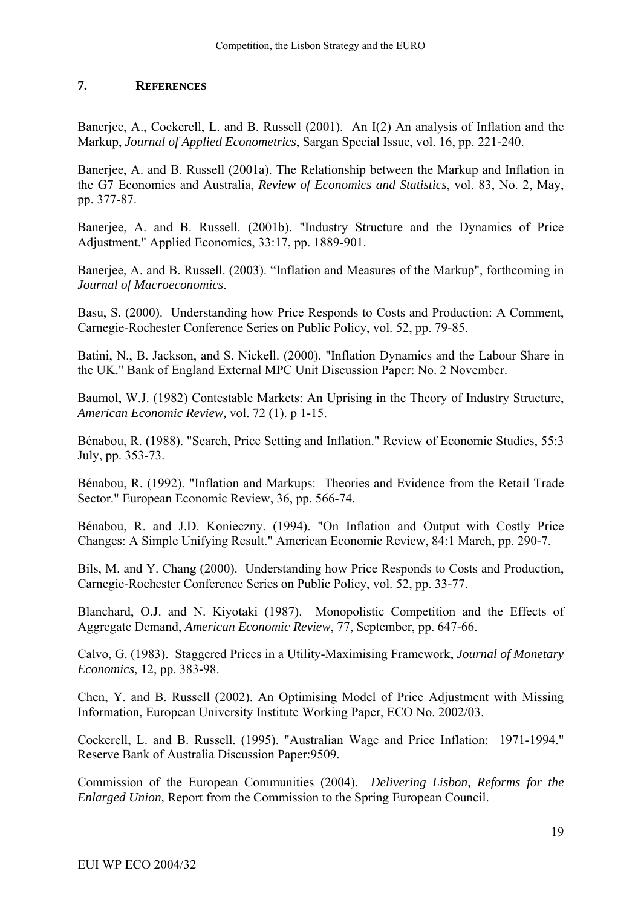## **7. REFERENCES**

Baneriee, A., Cockerell, L. and B. Russell (2001). An I(2) An analysis of Inflation and the Markup, *Journal of Applied Econometrics*, Sargan Special Issue, vol. 16, pp. 221-240.

Banerjee, A. and B. Russell (2001a). The Relationship between the Markup and Inflation in the G7 Economies and Australia, *Review of Economics and Statistics*, vol. 83, No. 2, May, pp. 377-87.

Banerjee, A. and B. Russell. (2001b). "Industry Structure and the Dynamics of Price Adjustment." Applied Economics, 33:17, pp. 1889-901.

Banerjee, A. and B. Russell. (2003). "Inflation and Measures of the Markup", forthcoming in *Journal of Macroeconomics*.

Basu, S. (2000). Understanding how Price Responds to Costs and Production: A Comment, Carnegie-Rochester Conference Series on Public Policy, vol. 52, pp. 79-85.

Batini, N., B. Jackson, and S. Nickell. (2000). "Inflation Dynamics and the Labour Share in the UK." Bank of England External MPC Unit Discussion Paper: No. 2 November.

Baumol, W.J. (1982) Contestable Markets: An Uprising in the Theory of Industry Structure, *American Economic Review,* vol. 72 (1). p 1-15.

Bénabou, R. (1988). "Search, Price Setting and Inflation." Review of Economic Studies, 55:3 July, pp. 353-73.

Bénabou, R. (1992). "Inflation and Markups: Theories and Evidence from the Retail Trade Sector." European Economic Review, 36, pp. 566-74.

Bénabou, R. and J.D. Konieczny. (1994). "On Inflation and Output with Costly Price Changes: A Simple Unifying Result." American Economic Review, 84:1 March, pp. 290-7.

Bils, M. and Y. Chang (2000). Understanding how Price Responds to Costs and Production, Carnegie-Rochester Conference Series on Public Policy, vol. 52, pp. 33-77.

Blanchard, O.J. and N. Kiyotaki (1987). Monopolistic Competition and the Effects of Aggregate Demand, *American Economic Review*, 77, September, pp. 647-66.

Calvo, G. (1983). Staggered Prices in a Utility-Maximising Framework, *Journal of Monetary Economics*, 12, pp. 383-98.

Chen, Y. and B. Russell (2002). An Optimising Model of Price Adjustment with Missing Information, European University Institute Working Paper, ECO No. 2002/03.

Cockerell, L. and B. Russell. (1995). "Australian Wage and Price Inflation: 1971-1994." Reserve Bank of Australia Discussion Paper:9509.

Commission of the European Communities (2004). *Delivering Lisbon, Reforms for the Enlarged Union,* Report from the Commission to the Spring European Council.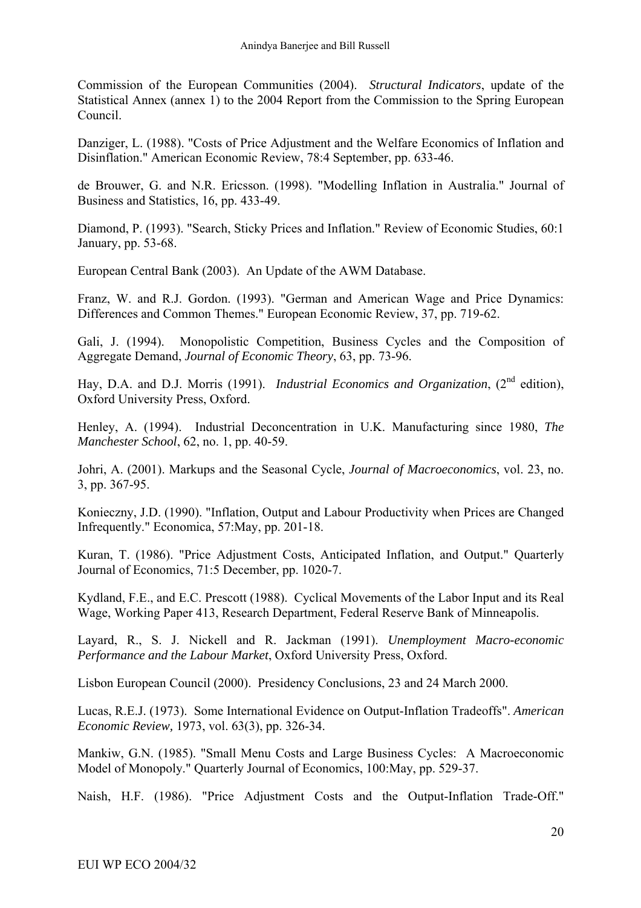Commission of the European Communities (2004). *Structural Indicators*, update of the Statistical Annex (annex 1) to the 2004 Report from the Commission to the Spring European Council.

Danziger, L. (1988). "Costs of Price Adjustment and the Welfare Economics of Inflation and Disinflation." American Economic Review, 78:4 September, pp. 633-46.

de Brouwer, G. and N.R. Ericsson. (1998). "Modelling Inflation in Australia." Journal of Business and Statistics, 16, pp. 433-49.

Diamond, P. (1993). "Search, Sticky Prices and Inflation." Review of Economic Studies, 60:1 January, pp. 53-68.

European Central Bank (2003). An Update of the AWM Database.

Franz, W. and R.J. Gordon. (1993). "German and American Wage and Price Dynamics: Differences and Common Themes." European Economic Review, 37, pp. 719-62.

Gali, J. (1994). Monopolistic Competition, Business Cycles and the Composition of Aggregate Demand, *Journal of Economic Theory*, 63, pp. 73-96.

Hay, D.A. and D.J. Morris (1991). *Industrial Economics and Organization*, (2<sup>nd</sup> edition). Oxford University Press, Oxford.

Henley, A. (1994). Industrial Deconcentration in U.K. Manufacturing since 1980, *The Manchester School*, 62, no. 1, pp. 40-59.

Johri, A. (2001). Markups and the Seasonal Cycle, *Journal of Macroeconomics*, vol. 23, no. 3, pp. 367-95.

Konieczny, J.D. (1990). "Inflation, Output and Labour Productivity when Prices are Changed Infrequently." Economica, 57:May, pp. 201-18.

Kuran, T. (1986). "Price Adjustment Costs, Anticipated Inflation, and Output." Quarterly Journal of Economics, 71:5 December, pp. 1020-7.

Kydland, F.E., and E.C. Prescott (1988). Cyclical Movements of the Labor Input and its Real Wage, Working Paper 413, Research Department, Federal Reserve Bank of Minneapolis.

Layard, R., S. J. Nickell and R. Jackman (1991). *Unemployment Macro-economic Performance and the Labour Market*, Oxford University Press, Oxford.

Lisbon European Council (2000). Presidency Conclusions, 23 and 24 March 2000.

Lucas, R.E.J. (1973). Some International Evidence on Output-Inflation Tradeoffs". *American Economic Review,* 1973, vol. 63(3), pp. 326-34.

Mankiw, G.N. (1985). "Small Menu Costs and Large Business Cycles: A Macroeconomic Model of Monopoly." Quarterly Journal of Economics, 100:May, pp. 529-37.

Naish, H.F. (1986). "Price Adjustment Costs and the Output-Inflation Trade-Off."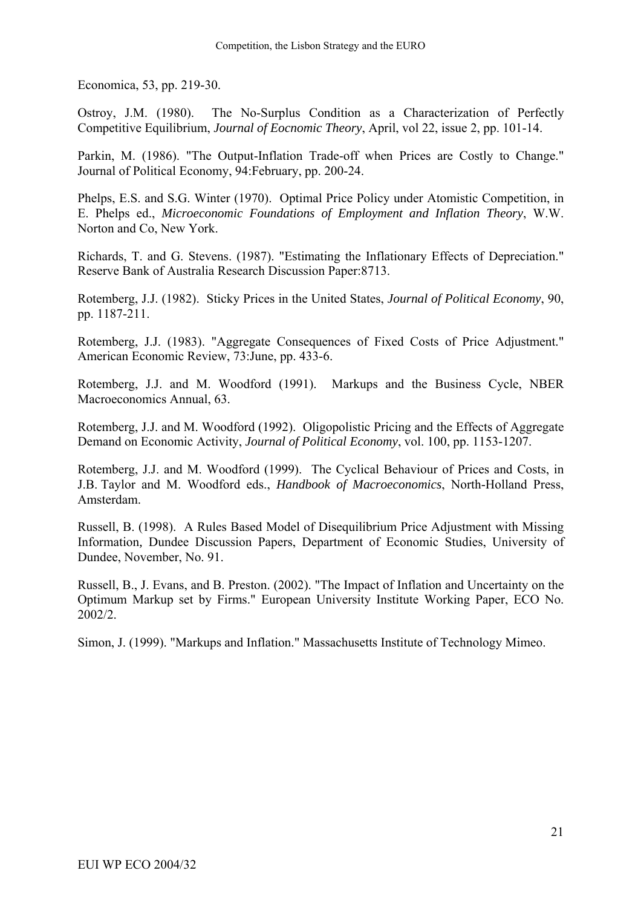Economica, 53, pp. 219-30.

Ostroy, J.M. (1980). The No-Surplus Condition as a Characterization of Perfectly Competitive Equilibrium, *Journal of Eocnomic Theory*, April, vol 22, issue 2, pp. 101-14.

Parkin, M. (1986). "The Output-Inflation Trade-off when Prices are Costly to Change." Journal of Political Economy, 94:February, pp. 200-24.

Phelps, E.S. and S.G. Winter (1970). Optimal Price Policy under Atomistic Competition, in E. Phelps ed., *Microeconomic Foundations of Employment and Inflation Theory*, W.W. Norton and Co, New York.

Richards, T. and G. Stevens. (1987). "Estimating the Inflationary Effects of Depreciation." Reserve Bank of Australia Research Discussion Paper:8713.

Rotemberg, J.J. (1982). Sticky Prices in the United States, *Journal of Political Economy*, 90, pp. 1187-211.

Rotemberg, J.J. (1983). "Aggregate Consequences of Fixed Costs of Price Adjustment." American Economic Review, 73:June, pp. 433-6.

Rotemberg, J.J. and M. Woodford (1991). Markups and the Business Cycle, NBER Macroeconomics Annual, 63.

Rotemberg, J.J. and M. Woodford (1992). Oligopolistic Pricing and the Effects of Aggregate Demand on Economic Activity, *Journal of Political Economy*, vol. 100, pp. 1153-1207.

Rotemberg, J.J. and M. Woodford (1999). The Cyclical Behaviour of Prices and Costs, in J.B. Taylor and M. Woodford eds., *Handbook of Macroeconomics*, North-Holland Press, Amsterdam.

Russell, B. (1998). A Rules Based Model of Disequilibrium Price Adjustment with Missing Information*,* Dundee Discussion Papers, Department of Economic Studies, University of Dundee, November, No. 91.

Russell, B., J. Evans, and B. Preston. (2002). "The Impact of Inflation and Uncertainty on the Optimum Markup set by Firms." European University Institute Working Paper, ECO No. 2002/2.

Simon, J. (1999). "Markups and Inflation." Massachusetts Institute of Technology Mimeo.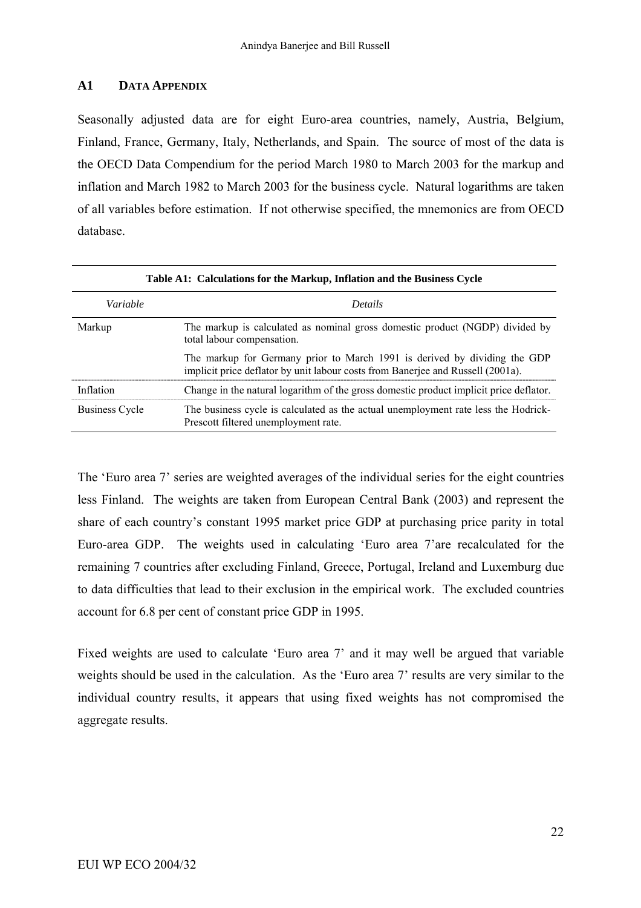### **A1 DATA APPENDIX**

Seasonally adjusted data are for eight Euro-area countries, namely, Austria, Belgium, Finland, France, Germany, Italy, Netherlands, and Spain. The source of most of the data is the OECD Data Compendium for the period March 1980 to March 2003 for the markup and inflation and March 1982 to March 2003 for the business cycle. Natural logarithms are taken of all variables before estimation. If not otherwise specified, the mnemonics are from OECD database.

| Table A1: Calculations for the Markup, Inflation and the Business Cycle |                                                                                                                                                              |  |  |  |  |
|-------------------------------------------------------------------------|--------------------------------------------------------------------------------------------------------------------------------------------------------------|--|--|--|--|
| Variable                                                                | <b>Details</b>                                                                                                                                               |  |  |  |  |
| Markup                                                                  | The markup is calculated as nominal gross domestic product (NGDP) divided by<br>total labour compensation.                                                   |  |  |  |  |
|                                                                         | The markup for Germany prior to March 1991 is derived by dividing the GDP<br>implicit price deflator by unit labour costs from Banerjee and Russell (2001a). |  |  |  |  |
| Inflation                                                               | Change in the natural logarithm of the gross domestic product implicit price deflator.                                                                       |  |  |  |  |
| <b>Business Cycle</b>                                                   | The business cycle is calculated as the actual unemployment rate less the Hodrick-<br>Prescott filtered unemployment rate.                                   |  |  |  |  |

The 'Euro area 7' series are weighted averages of the individual series for the eight countries less Finland. The weights are taken from European Central Bank (2003) and represent the share of each country's constant 1995 market price GDP at purchasing price parity in total Euro-area GDP. The weights used in calculating 'Euro area 7'are recalculated for the remaining 7 countries after excluding Finland, Greece, Portugal, Ireland and Luxemburg due to data difficulties that lead to their exclusion in the empirical work. The excluded countries account for 6.8 per cent of constant price GDP in 1995.

Fixed weights are used to calculate 'Euro area 7' and it may well be argued that variable weights should be used in the calculation. As the 'Euro area 7' results are very similar to the individual country results, it appears that using fixed weights has not compromised the aggregate results.